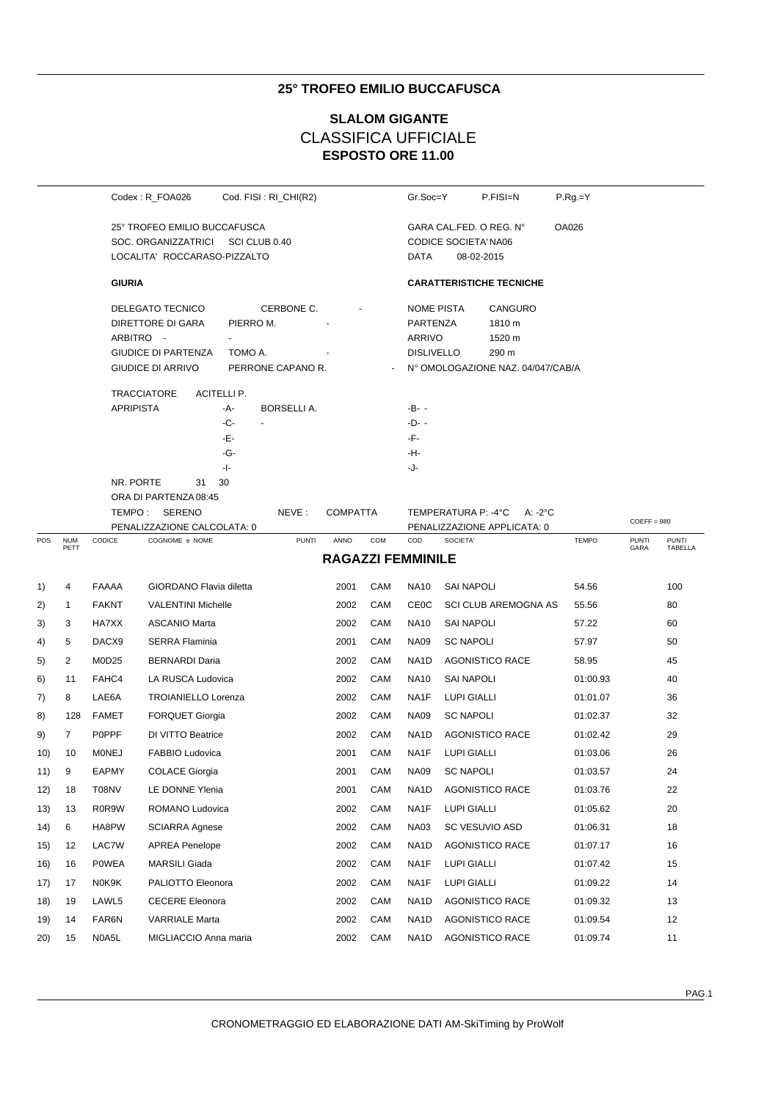## **25° TROFEO EMILIO BUCCAFUSCA**

# **ESPOSTO ORE 11.00 SLALOM GIGANTE** CLASSIFICA UFFICIALE

|     |                    |                               | Codex: R_FOA026                                                                                 |                                                         | Cod. FISI: RI_CHI(R2) |                          |     | Gr.Soc=Y                                                                                                                                  |                                 | P.FISI=N                    | $P.Rg = Y$   |                      |                         |
|-----|--------------------|-------------------------------|-------------------------------------------------------------------------------------------------|---------------------------------------------------------|-----------------------|--------------------------|-----|-------------------------------------------------------------------------------------------------------------------------------------------|---------------------------------|-----------------------------|--------------|----------------------|-------------------------|
|     |                    |                               | 25° TROFEO EMILIO BUCCAFUSCA<br>SOC. ORGANIZZATRICI<br>LOCALITA' ROCCARASO-PIZZALTO             | SCI CLUB 0.40                                           |                       |                          |     | OA026<br>GARA CAL FED. O REG. N°<br><b>CODICE SOCIETA' NA06</b><br>DATA<br>08-02-2015                                                     |                                 |                             |              |                      |                         |
|     |                    | <b>GIURIA</b>                 |                                                                                                 |                                                         |                       |                          |     |                                                                                                                                           | <b>CARATTERISTICHE TECNICHE</b> |                             |              |                      |                         |
|     |                    | ARBITRO -                     | DELEGATO TECNICO<br>DIRETTORE DI GARA<br><b>GIUDICE DI PARTENZA</b><br><b>GIUDICE DI ARRIVO</b> | CERBONE C.<br>PIERRO M.<br>TOMO A.<br>PERRONE CAPANO R. |                       |                          |     | <b>NOME PISTA</b><br>CANGURO<br>PARTENZA<br>1810 m<br>ARRIVO<br>1520 m<br><b>DISLIVELLO</b><br>290 m<br>N° OMOLOGAZIONE NAZ. 04/047/CAB/A |                                 |                             |              |                      |                         |
|     |                    | <b>APRIPISTA</b><br>NR. PORTE | <b>TRACCIATORE</b><br>31<br>ORA DI PARTENZA 08:45<br>TEMPO: SERENO                              | ACITELLI P.<br>-A-<br>-C-<br>-Е-<br>-G-<br>-1-<br>30    | BORSELLI A.<br>NEVE:  | <b>COMPATTA</b>          |     | -B- -<br>$-D-$<br>-F-<br>-H-<br>-J-                                                                                                       | TEMPERATURA P: -4°C             | A: -2°C                     |              | $COEFF = 980$        |                         |
| POS | <b>NUM</b><br>PETT | CODICE                        | PENALIZZAZIONE CALCOLATA: 0<br>COGNOME e NOME                                                   |                                                         | <b>PUNTI</b>          | ANNO                     | COM | COD                                                                                                                                       | SOCIETA'                        | PENALIZZAZIONE APPLICATA: 0 | <b>TEMPO</b> | <b>PUNTI</b><br>GARA | <b>PUNTI</b><br>TABELLA |
|     |                    |                               |                                                                                                 |                                                         |                       | <b>RAGAZZI FEMMINILE</b> |     |                                                                                                                                           |                                 |                             |              |                      |                         |
| 1)  | 4                  | FAAAA                         | GIORDANO Flavia diletta                                                                         |                                                         |                       | 2001                     | CAM | <b>NA10</b>                                                                                                                               | <b>SAI NAPOLI</b>               |                             | 54.56        |                      | 100                     |
| 2)  | $\mathbf{1}$       | <b>FAKNT</b>                  | <b>VALENTINI Michelle</b>                                                                       |                                                         |                       | 2002                     | CAM | <b>CE0C</b>                                                                                                                               |                                 | <b>SCI CLUB AREMOGNA AS</b> | 55.56        |                      | 80                      |
| 3)  | 3                  | HA7XX                         | <b>ASCANIO Marta</b>                                                                            |                                                         |                       | 2002                     | CAM | <b>NA10</b>                                                                                                                               | <b>SAI NAPOLI</b>               |                             | 57.22        |                      | 60                      |
| 4)  | 5                  | DACX9                         | <b>SERRA Flaminia</b>                                                                           |                                                         |                       | 2001                     | CAM | <b>NA09</b>                                                                                                                               | <b>SC NAPOLI</b>                |                             | 57.97        |                      | 50                      |
| 5)  | 2                  | M0D25                         | <b>BERNARDI Daria</b>                                                                           |                                                         |                       | 2002                     | CAM | NA1D                                                                                                                                      |                                 | <b>AGONISTICO RACE</b>      | 58.95        |                      | 45                      |
| 6)  | 11                 | FAHC4                         | LA RUSCA Ludovica                                                                               |                                                         |                       | 2002                     | CAM | <b>NA10</b>                                                                                                                               | <b>SAI NAPOLI</b>               |                             | 01:00.93     |                      | 40                      |
| 7)  | 8                  | LAE6A                         | <b>TROIANIELLO Lorenza</b>                                                                      |                                                         |                       | 2002                     | CAM | NA1F                                                                                                                                      | <b>LUPI GIALLI</b>              |                             | 01:01.07     |                      | 36                      |
| 8)  | 128                | FAMET                         | <b>FORQUET Giorgia</b>                                                                          |                                                         |                       | 2002                     | CAM | <b>NA09</b>                                                                                                                               | <b>SC NAPOLI</b>                |                             | 01:02.37     |                      | 32                      |
| 9)  | $\overline{7}$     | <b>POPPF</b>                  | DI VITTO Beatrice                                                                               |                                                         |                       | 2002                     | CAM | NA <sub>1</sub> D                                                                                                                         |                                 | <b>AGONISTICO RACE</b>      | 01:02.42     |                      | 29                      |
| 10) | 10                 | <b>MONEJ</b>                  | FABBIO Ludovica                                                                                 |                                                         |                       | 2001                     | CAM | NA1F                                                                                                                                      | <b>LUPI GIALLI</b>              |                             | 01:03.06     |                      | 26                      |
| 11) | 9                  | <b>EAPMY</b>                  | <b>COLACE Giorgia</b>                                                                           |                                                         |                       | 2001                     | CAM | <b>NA09</b>                                                                                                                               | <b>SC NAPOLI</b>                |                             | 01:03.57     |                      | 24                      |
| 12) | 18                 | T08NV                         | LE DONNE Ylenia                                                                                 |                                                         |                       | 2001                     | CAM | NA1D                                                                                                                                      |                                 | <b>AGONISTICO RACE</b>      | 01:03.76     |                      | 22                      |
| 13) | 13                 | R0R9W                         | ROMANO Ludovica                                                                                 |                                                         |                       | 2002                     | CAM | NA1F                                                                                                                                      | <b>LUPI GIALLI</b>              |                             | 01:05.62     |                      | 20                      |
| 14) | 6                  | HA8PW                         | SCIARRA Agnese                                                                                  |                                                         |                       | 2002                     | CAM | <b>NA03</b>                                                                                                                               | SC VESUVIO ASD                  |                             | 01:06.31     |                      | 18                      |
| 15) | 12                 | LAC7W                         | <b>APREA Penelope</b>                                                                           |                                                         |                       | 2002                     | CAM | NA1D                                                                                                                                      |                                 | <b>AGONISTICO RACE</b>      | 01:07.17     |                      | 16                      |
| 16) | 16                 | POWEA                         | MARSILI Giada                                                                                   |                                                         |                       | 2002                     | CAM | NA1F                                                                                                                                      | <b>LUPI GIALLI</b>              |                             | 01:07.42     |                      | 15                      |
| 17) | 17                 | N0K9K                         | PALIOTTO Eleonora                                                                               |                                                         |                       | 2002                     | CAM | NA1F                                                                                                                                      | LUPI GIALLI                     |                             | 01:09.22     |                      | 14                      |
| 18) | 19                 | LAWL5                         | <b>CECERE Eleonora</b>                                                                          |                                                         |                       | 2002                     | CAM | NA <sub>1</sub> D                                                                                                                         |                                 | <b>AGONISTICO RACE</b>      | 01:09.32     |                      | 13                      |
| 19) | 14                 | FAR6N                         | VARRIALE Marta                                                                                  |                                                         |                       | 2002                     | CAM | NA1D                                                                                                                                      |                                 | <b>AGONISTICO RACE</b>      | 01:09.54     |                      | 12                      |
| 20) | 15                 | N0A5L                         | MIGLIACCIO Anna maria                                                                           |                                                         |                       | 2002                     | CAM | NA <sub>1</sub> D                                                                                                                         |                                 | <b>AGONISTICO RACE</b>      | 01:09.74     |                      | 11                      |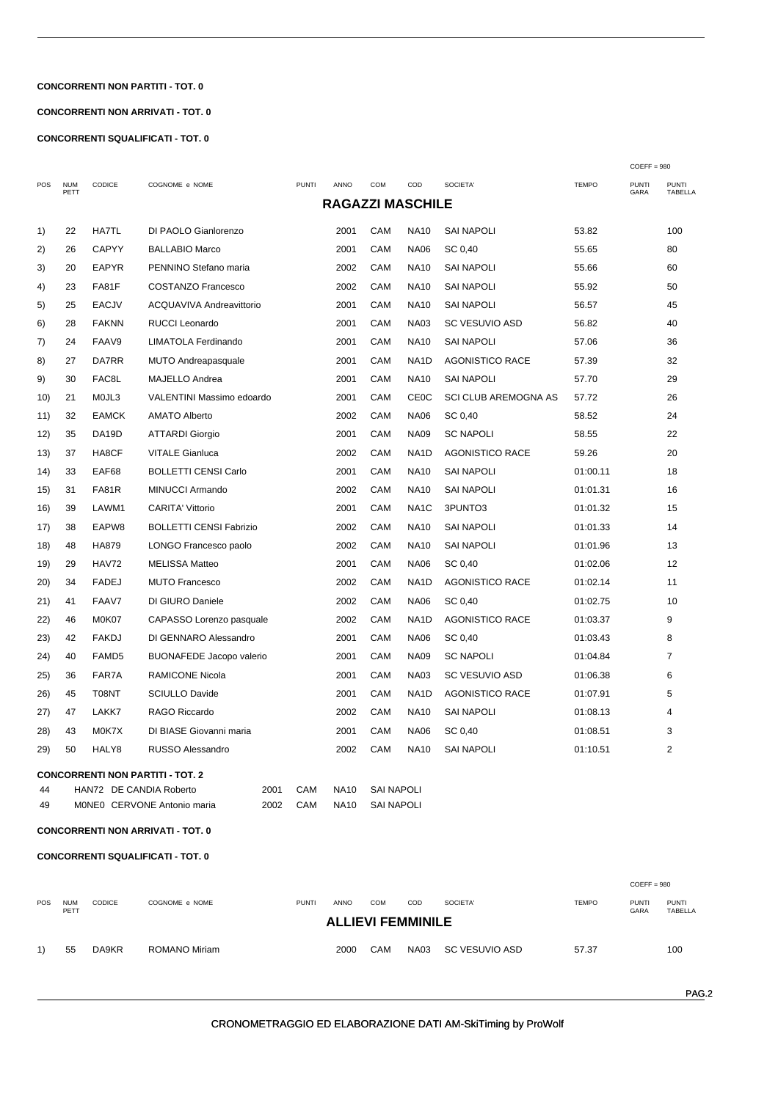### **CONCORRENTI NON PARTITI - TOT. 0**

### **CONCORRENTI NON ARRIVATI - TOT. 0**

**CONCORRENTI SQUALIFICATI - TOT. 0** 

|                                                                               |                    |                   |                                          |              |                         |            |                   | $COEFF = 980$               |              |                      |                         |
|-------------------------------------------------------------------------------|--------------------|-------------------|------------------------------------------|--------------|-------------------------|------------|-------------------|-----------------------------|--------------|----------------------|-------------------------|
| POS                                                                           | <b>NUM</b><br>PETT | CODICE            | COGNOME e NOME                           | <b>PUNTI</b> | ANNO                    | <b>COM</b> | COD               | SOCIETA'                    | <b>TEMPO</b> | <b>PUNTI</b><br>GARA | <b>PUNTI</b><br>TABELLA |
|                                                                               |                    |                   |                                          |              | <b>RAGAZZI MASCHILE</b> |            |                   |                             |              |                      |                         |
| 1)                                                                            | 22                 | <b>HA7TL</b>      | DI PAOLO Gianlorenzo                     |              | 2001                    | CAM        | NA10              | <b>SAI NAPOLI</b>           | 53.82        |                      | 100                     |
| 2)                                                                            | 26                 | <b>CAPYY</b>      | <b>BALLABIO Marco</b>                    |              | 2001                    | <b>CAM</b> | <b>NA06</b>       | SC 0,40                     | 55.65        |                      | 80                      |
| 3)                                                                            | 20                 | <b>EAPYR</b>      | PENNINO Stefano maria                    |              | 2002                    | CAM        | NA10              | <b>SAI NAPOLI</b>           | 55.66        |                      | 60                      |
| 4)                                                                            | 23                 | FA81F             | <b>COSTANZO Francesco</b>                |              | 2002                    | CAM        | <b>NA10</b>       | <b>SAI NAPOLI</b>           | 55.92        |                      | 50                      |
| 5)                                                                            | 25                 | <b>EACJV</b>      | ACQUAVIVA Andreavittorio                 |              | 2001                    | CAM        | NA10              | <b>SAI NAPOLI</b>           | 56.57        |                      | 45                      |
| 6)                                                                            | 28                 | <b>FAKNN</b>      | <b>RUCCI Leonardo</b>                    |              | 2001                    | CAM        | <b>NA03</b>       | <b>SC VESUVIO ASD</b>       | 56.82        |                      | 40                      |
| 7)                                                                            | 24                 | FAAV9             | LIMATOLA Ferdinando                      |              | 2001                    | CAM        | <b>NA10</b>       | <b>SAI NAPOLI</b>           | 57.06        |                      | 36                      |
| 8)                                                                            | 27                 | DA7RR             | MUTO Andreapasquale                      |              | 2001                    | CAM        | NA1D              | <b>AGONISTICO RACE</b>      | 57.39        |                      | 32                      |
| 9)                                                                            | 30                 | FAC8L             | MAJELLO Andrea                           |              | 2001                    | CAM        | NA10              | SAI NAPOLI                  | 57.70        |                      | 29                      |
| 10)                                                                           | 21                 | MOJL3             | VALENTINI Massimo edoardo                |              | 2001                    | CAM        | <b>CE0C</b>       | <b>SCI CLUB AREMOGNA AS</b> | 57.72        |                      | 26                      |
| 11)                                                                           | 32                 | <b>EAMCK</b>      | AMATO Alberto                            |              | 2002                    | CAM        | <b>NA06</b>       | SC 0,40                     | 58.52        |                      | 24                      |
| 12)                                                                           | 35                 | DA19D             | <b>ATTARDI Giorgio</b>                   |              | 2001                    | CAM        | <b>NA09</b>       | <b>SC NAPOLI</b>            | 58.55        |                      | 22                      |
| 13)                                                                           | 37                 | HA8CF             | <b>VITALE Gianluca</b>                   |              | 2002                    | <b>CAM</b> | NA <sub>1</sub> D | <b>AGONISTICO RACE</b>      | 59.26        |                      | 20                      |
| 14)                                                                           | 33                 | EAF68             | <b>BOLLETTI CENSI Carlo</b>              |              | 2001                    | CAM        | NA10              | <b>SAI NAPOLI</b>           | 01:00.11     |                      | 18                      |
| 15)                                                                           | 31                 | FA81R             | MINUCCI Armando                          |              | 2002                    | CAM        | <b>NA10</b>       | <b>SAI NAPOLI</b>           | 01:01.31     |                      | 16                      |
| 16)                                                                           | 39                 | LAWM1             | <b>CARITA' Vittorio</b>                  |              | 2001                    | CAM        | NA1C              | 3PUNTO3                     | 01:01.32     |                      | 15                      |
| 17)                                                                           | 38                 | EAPW8             | <b>BOLLETTI CENSI Fabrizio</b>           |              | 2002                    | CAM        | <b>NA10</b>       | <b>SAI NAPOLI</b>           | 01:01.33     |                      | 14                      |
| 18)                                                                           | 48                 | HA879             | LONGO Francesco paolo                    |              | 2002                    | CAM        | <b>NA10</b>       | <b>SAI NAPOLI</b>           | 01:01.96     |                      | 13                      |
| 19)                                                                           | 29                 | <b>HAV72</b>      | <b>MELISSA Matteo</b>                    |              | 2001                    | CAM        | <b>NA06</b>       | SC 0,40                     | 01:02.06     |                      | 12                      |
| 20)                                                                           | 34                 | <b>FADEJ</b>      | <b>MUTO Francesco</b>                    |              | 2002                    | CAM        | NA1D              | <b>AGONISTICO RACE</b>      | 01:02.14     |                      | 11                      |
| 21)                                                                           | 41                 | FAAV7             | DI GIURO Daniele                         |              | 2002                    | CAM        | <b>NA06</b>       | SC 0,40                     | 01:02.75     |                      | 10                      |
| 22)                                                                           | 46                 | M0K07             | CAPASSO Lorenzo pasquale                 |              | 2002                    | <b>CAM</b> | NA1D              | <b>AGONISTICO RACE</b>      | 01:03.37     |                      | 9                       |
| 23)                                                                           | 42                 | <b>FAKDJ</b>      | DI GENNARO Alessandro                    |              | 2001                    | CAM        | <b>NA06</b>       | SC 0,40                     | 01:03.43     |                      | 8                       |
| 24)                                                                           | 40                 | FAMD <sub>5</sub> | <b>BUONAFEDE Jacopo valerio</b>          |              | 2001                    | <b>CAM</b> | <b>NA09</b>       | <b>SC NAPOLI</b>            | 01:04.84     |                      | $\overline{7}$          |
| 25)                                                                           | 36                 | FAR7A             | RAMICONE Nicola                          |              | 2001                    | CAM        | <b>NA03</b>       | <b>SC VESUVIO ASD</b>       | 01:06.38     |                      | 6                       |
| 26)                                                                           | 45                 | T08NT             | <b>SCIULLO Davide</b>                    |              | 2001                    | CAM        | NA <sub>1</sub> D | <b>AGONISTICO RACE</b>      | 01:07.91     |                      | 5                       |
| 27)                                                                           | 47                 | LAKK7             | RAGO Riccardo                            |              | 2002                    | CAM        | NA10              | <b>SAI NAPOLI</b>           | 01:08.13     |                      | 4                       |
| 28)                                                                           | 43                 | M0K7X             | DI BIASE Giovanni maria                  |              | 2001                    | CAM        | <b>NA06</b>       | SC 0,40                     | 01:08.51     |                      | 3                       |
| 29)                                                                           | 50                 | HALY8             | RUSSO Alessandro                         |              | 2002                    | CAM        | NA10              | SAI NAPOLI                  | 01:10.51     |                      | 2                       |
|                                                                               |                    |                   | <b>CONCORRENTI NON PARTITI - TOT. 2</b>  |              |                         |            |                   |                             |              |                      |                         |
| 44                                                                            |                    |                   | HAN72 DE CANDIA Roberto<br>2001          | CAM          | <b>NA10</b>             | SAI NAPOLI |                   |                             |              |                      |                         |
| CAM<br>49<br>MONEO CERVONE Antonio maria<br>2002<br><b>NA10</b><br>SAI NAPOLI |                    |                   |                                          |              |                         |            |                   |                             |              |                      |                         |
|                                                                               |                    |                   | <b>CONCORRENTI NON ARRIVATI - TOT. 0</b> |              |                         |            |                   |                             |              |                      |                         |
|                                                                               |                    |                   | <b>CONCORRENTI SQUALIFICATI - TOT. 0</b> |              |                         |            |                   |                             |              |                      |                         |
|                                                                               |                    |                   |                                          |              |                         |            |                   |                             |              |                      |                         |
|                                                                               |                    |                   |                                          |              |                         |            |                   |                             |              | $COEFF = 980$        |                         |

| POS | <b>NUM</b><br>PETT | <b>CODICE</b> | COGNOME e NOME | <b>PUNTI</b> | <b>ANNO</b> | <b>COM</b> | COD<br><b>ALLIEVI FEMMINILE</b> | SOCIETA'       | <b>TEMPO</b> | <b>PUNTI</b><br>GARA | <b>PUNTI</b><br>TABELLA |
|-----|--------------------|---------------|----------------|--------------|-------------|------------|---------------------------------|----------------|--------------|----------------------|-------------------------|
| 1)  | 55                 | DA9KR         | ROMANO Miriam  |              | 2000        | CAM        | NA03                            | SC VESUVIO ASD | 57.37        |                      | 100                     |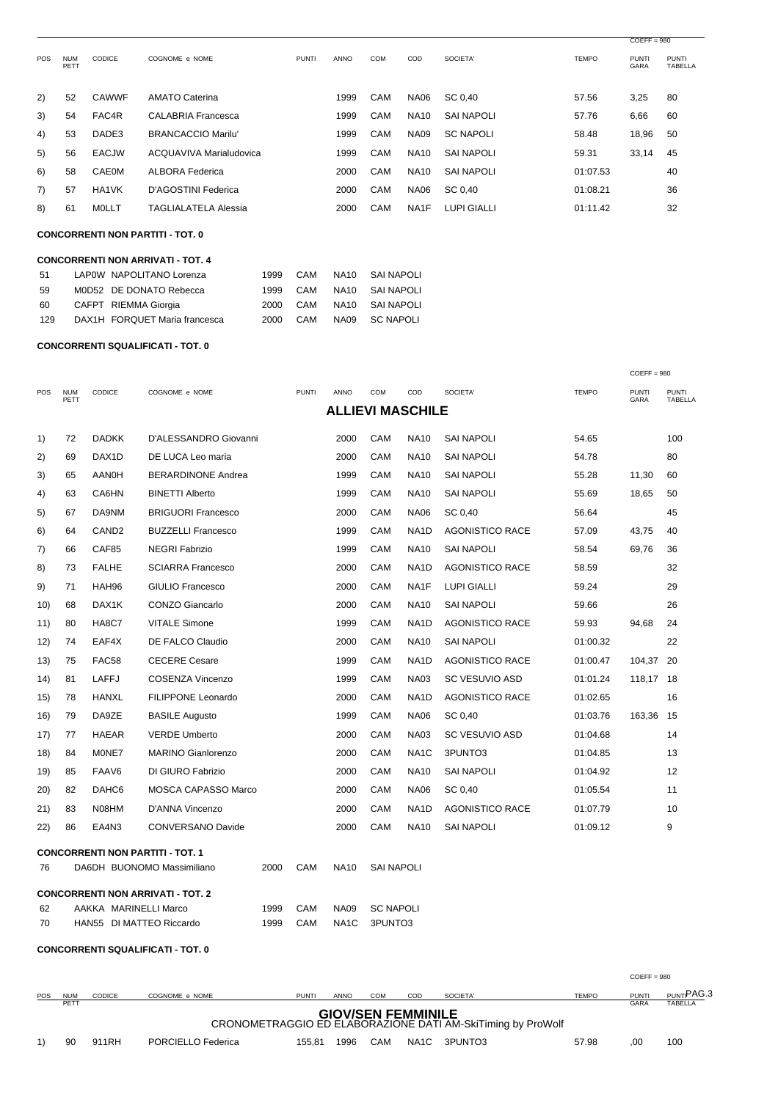|            |                    |               |                             |              |             |            |             |                    |              | $COEFF = 980$        |                                |
|------------|--------------------|---------------|-----------------------------|--------------|-------------|------------|-------------|--------------------|--------------|----------------------|--------------------------------|
| <b>POS</b> | <b>NUM</b><br>PETT | <b>CODICE</b> | COGNOME e NOME              | <b>PUNTI</b> | <b>ANNO</b> | <b>COM</b> | COD         | SOCIETA'           | <b>TEMPO</b> | <b>PUNTI</b><br>GARA | <b>PUNTI</b><br><b>TABELLA</b> |
| 2)         | 52                 | <b>CAWWF</b>  | <b>AMATO Caterina</b>       |              | 1999        | CAM        | <b>NA06</b> | SC 0.40            | 57.56        | 3,25                 | 80                             |
| 3)         | 54                 | FAC4R         | <b>CALABRIA Francesca</b>   |              | 1999        | <b>CAM</b> | <b>NA10</b> | SAI NAPOLI         | 57.76        | 6,66                 | 60                             |
| 4)         | 53                 | DADE3         | <b>BRANCACCIO Marilu'</b>   |              | 1999        | <b>CAM</b> | <b>NA09</b> | <b>SC NAPOLI</b>   | 58.48        | 18,96                | 50                             |
| 5)         | 56                 | <b>EACJW</b>  | ACQUAVIVA Marialudovica     |              | 1999        | <b>CAM</b> | <b>NA10</b> | SAI NAPOLI         | 59.31        | 33,14                | 45                             |
| 6)         | 58                 | CAE0M         | <b>ALBORA Federica</b>      |              | 2000        | CAM        | <b>NA10</b> | <b>SAI NAPOLI</b>  | 01:07.53     |                      | 40                             |
| 7)         | 57                 | HA1VK         | D'AGOSTINI Federica         |              | 2000        | <b>CAM</b> | <b>NA06</b> | SC 0.40            | 01:08.21     |                      | 36                             |
| 8)         | 61                 | MOLLT         | <b>TAGLIALATELA Alessia</b> |              | 2000        | CAM        | NA1F        | <b>LUPI GIALLI</b> | 01:11.42     |                      | 32                             |

**CONCORRENTI NON PARTITI - TOT. 0** 

|     | <b>CONCORRENTI NON ARRIVATI - TOT. 4</b> |                               |      |     |                  |                  |  |  |  |  |  |  |  |
|-----|------------------------------------------|-------------------------------|------|-----|------------------|------------------|--|--|--|--|--|--|--|
| 51  |                                          | LAPOW NAPOLITANO Lorenza      | 1999 | CAM | NA10             | SAI NAPOLI       |  |  |  |  |  |  |  |
| 59  |                                          | M0D52 DE DONATO Rebecca       | 1999 | CAM | <b>NA10</b>      | SAI NAPOLI       |  |  |  |  |  |  |  |
| 60  |                                          | CAFPT RIEMMA Giorgia          | 2000 | CAM | <b>NA10</b>      | SAI NAPOLI       |  |  |  |  |  |  |  |
| 129 |                                          | DAX1H FORQUET Maria francesca | 2000 | CAM | NA <sub>09</sub> | <b>SC NAPOLI</b> |  |  |  |  |  |  |  |

#### **CONCORRENTI SQUALIFICATI - TOT. 0**

|                                |                    |                       |                                          |      |                   |                         |                   |                   |                        |              | $COEFF = 980$        |                         |
|--------------------------------|--------------------|-----------------------|------------------------------------------|------|-------------------|-------------------------|-------------------|-------------------|------------------------|--------------|----------------------|-------------------------|
| POS                            | <b>NUM</b><br>PETT | CODICE                | COGNOME e NOME                           |      | <b>PUNTI</b>      | ANNO                    | COM               | COD               | SOCIETA'               | <b>TEMPO</b> | <b>PUNTI</b><br>GARA | <b>PUNTI</b><br>TABELLA |
|                                |                    |                       |                                          |      |                   | <b>ALLIEVI MASCHILE</b> |                   |                   |                        |              |                      |                         |
| 1)                             | 72                 | <b>DADKK</b>          | D'ALESSANDRO Giovanni                    |      |                   | 2000                    | CAM               | <b>NA10</b>       | <b>SAI NAPOLI</b>      | 54.65        |                      | 100                     |
| 2)                             | 69                 | DAX <sub>1</sub> D    | DE LUCA Leo maria                        |      |                   | 2000                    | CAM               | <b>NA10</b>       | <b>SAI NAPOLI</b>      | 54.78        |                      | 80                      |
| 3)                             | 65                 | <b>AAN0H</b>          | <b>BERARDINONE Andrea</b>                |      |                   | 1999                    | CAM               | <b>NA10</b>       | <b>SAI NAPOLI</b>      | 55.28        | 11,30                | 60                      |
| 4)                             | 63                 | CA6HN                 | <b>BINETTI Alberto</b>                   |      |                   | 1999                    | CAM               | <b>NA10</b>       | <b>SAI NAPOLI</b>      | 55.69        | 18,65                | 50                      |
| 5)                             | 67                 | DA9NM                 | <b>BRIGUORI Francesco</b>                |      |                   | 2000                    | CAM               | <b>NA06</b>       | SC 0,40                | 56.64        |                      | 45                      |
| 6)                             | 64                 | CAND <sub>2</sub>     | <b>BUZZELLI Francesco</b>                |      |                   | 1999                    | CAM               | NA <sub>1</sub> D | AGONISTICO RACE        | 57.09        | 43,75                | 40                      |
| 7)                             | 66                 | CAF85                 | <b>NEGRI Fabrizio</b>                    |      |                   | 1999                    | CAM               | <b>NA10</b>       | <b>SAI NAPOLI</b>      | 58.54        | 69,76                | 36                      |
| 8)                             | 73                 | <b>FALHE</b>          | <b>SCIARRA Francesco</b>                 |      |                   | 2000                    | CAM               | NA <sub>1</sub> D | <b>AGONISTICO RACE</b> | 58.59        |                      | 32                      |
| 9)                             | 71                 | HAH96                 | <b>GIULIO Francesco</b>                  |      |                   | 2000                    | CAM               | NA <sub>1</sub> F | <b>LUPI GIALLI</b>     | 59.24        |                      | 29                      |
| 10)                            | 68                 | DAX1K                 | <b>CONZO Giancarlo</b>                   |      |                   | 2000                    | CAM               | <b>NA10</b>       | <b>SAI NAPOLI</b>      | 59.66        |                      | 26                      |
| 11)                            | 80                 | HA8C7                 | <b>VITALE Simone</b>                     |      |                   | 1999                    | CAM               | NA <sub>1</sub> D | <b>AGONISTICO RACE</b> | 59.93        | 94,68                | 24                      |
| 12)                            | 74                 | EAF4X                 | DE FALCO Claudio                         |      |                   | 2000                    | CAM               | <b>NA10</b>       | <b>SAI NAPOLI</b>      | 01:00.32     |                      | 22                      |
| 13)                            | 75                 | FAC58                 | <b>CECERE</b> Cesare                     |      |                   | 1999                    | CAM               | NA <sub>1</sub> D | <b>AGONISTICO RACE</b> | 01:00.47     | 104,37               | -20                     |
| (14)                           | 81                 | <b>LAFFJ</b>          | <b>COSENZA Vincenzo</b>                  |      |                   | 1999                    | CAM               | <b>NA03</b>       | <b>SC VESUVIO ASD</b>  | 01:01.24     | 118,17               | - 18                    |
| 15)                            | 78                 | <b>HANXL</b>          | FILIPPONE Leonardo                       |      |                   | 2000                    | CAM               | NA <sub>1</sub> D | <b>AGONISTICO RACE</b> | 01:02.65     |                      | 16                      |
| 16)                            | 79                 | DA9ZE                 | <b>BASILE Augusto</b>                    |      |                   | 1999                    | CAM               | <b>NA06</b>       | SC 0,40                | 01:03.76     | 163,36               | 15                      |
| 17)                            | 77                 | <b>HAEAR</b>          | <b>VERDE Umberto</b>                     |      |                   | 2000                    | CAM               | <b>NA03</b>       | <b>SC VESUVIO ASD</b>  | 01:04.68     |                      | 14                      |
| 18)                            | 84                 | M0NE7                 | <b>MARINO Gianlorenzo</b>                |      |                   | 2000                    | CAM               | NA <sub>1</sub> C | 3PUNTO3                | 01:04.85     |                      | 13                      |
| 19)                            | 85                 | FAAV6                 | DI GIURO Fabrizio                        |      |                   | 2000                    | CAM               | <b>NA10</b>       | <b>SAI NAPOLI</b>      | 01:04.92     |                      | 12                      |
| 20)                            | 82                 | DAHC6                 | <b>MOSCA CAPASSO Marco</b>               |      |                   | 2000                    | CAM               | <b>NA06</b>       | SC 0,40                | 01:05.54     |                      | 11                      |
| 21)                            | 83                 | N08HM                 | D'ANNA Vincenzo                          |      |                   | 2000                    | CAM               | NA <sub>1</sub> D | <b>AGONISTICO RACE</b> | 01:07.79     |                      | 10                      |
| 22)                            | 86                 | EA4N3                 | <b>CONVERSANO Davide</b>                 |      |                   | 2000                    | CAM               | <b>NA10</b>       | <b>SAI NAPOLI</b>      | 01:09.12     |                      | 9                       |
|                                |                    |                       | <b>CONCORRENTI NON PARTITI - TOT. 1</b>  |      |                   |                         |                   |                   |                        |              |                      |                         |
| 76                             |                    |                       | DA6DH BUONOMO Massimiliano               | 2000 | CAM               | <b>NA10</b>             | <b>SAI NAPOLI</b> |                   |                        |              |                      |                         |
|                                |                    |                       | <b>CONCORRENTI NON ARRIVATI - TOT. 2</b> |      |                   |                         |                   |                   |                        |              |                      |                         |
| 62                             |                    | AAKKA MARINELLI Marco |                                          | 1999 | CAM               | <b>NA09</b>             | <b>SC NAPOLI</b>  |                   |                        |              |                      |                         |
| 70<br>HAN55 DI MATTEO Riccardo |                    |                       | 1999                                     | CAM  | NA <sub>1</sub> C | 3PUNTO3                 |                   |                   |                        |              |                      |                         |

## **CONCORRENTI SQUALIFICATI - TOT. 0**

| <b>POS</b> | <b>NUM</b><br>PETT                                                                       | <b>CODICE</b> | COGNOME e NOME     | <b>PUNTI</b> | <b>ANNO</b> | <b>COM</b> | COD  | SOCIETA' | <b>TEMPO</b> | <b>PUNTI</b><br>GARA | PUNTIPAG.3<br><b>TABELLA</b> |  |
|------------|------------------------------------------------------------------------------------------|---------------|--------------------|--------------|-------------|------------|------|----------|--------------|----------------------|------------------------------|--|
|            | <b>GIOV/SEN FEMMINILE</b><br>CRONOMETRAGGIO ED ELABORAZIONE DATI AM-SkiTiming by ProWolf |               |                    |              |             |            |      |          |              |                      |                              |  |
|            | 90                                                                                       | 911RH         | PORCIELLO Federica | 155.81       | 1996        | CAM        | NA1C | 3PUNTO3  | 57.98        | .0C                  | 100                          |  |

 $COEFF = 980$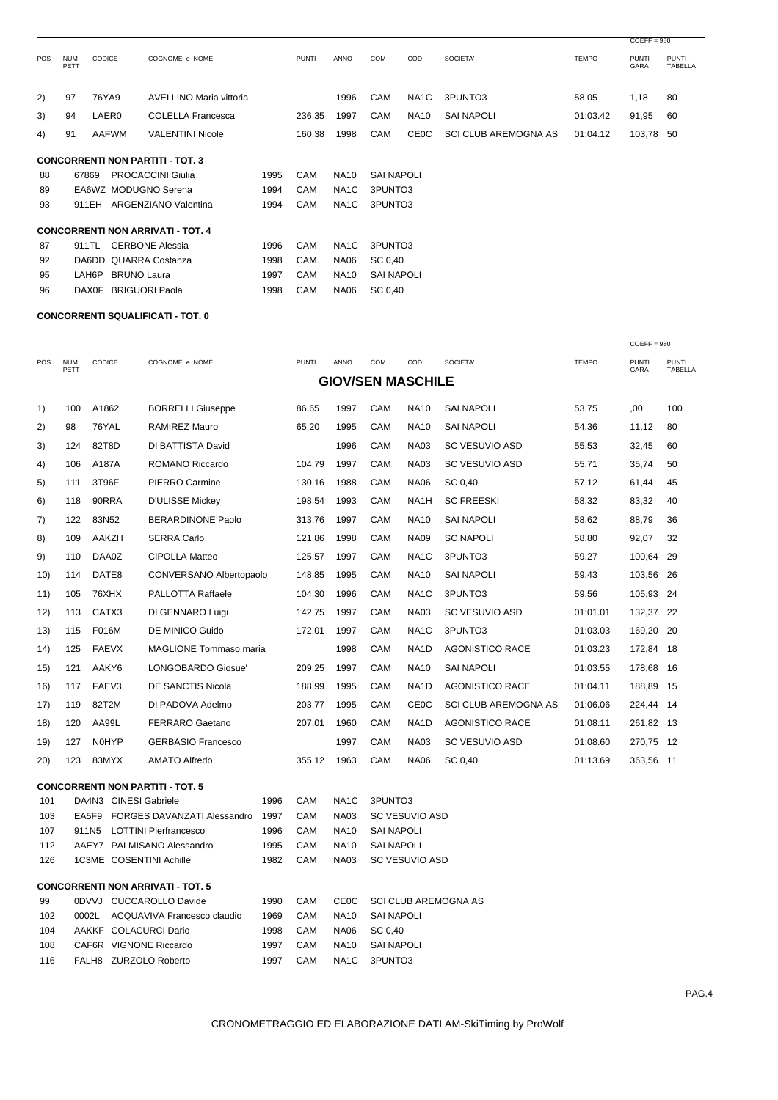|                                         |                    |               |                                          |      |              |                   |                   |                   |                             |              | $COEFF = 980$               |                                |
|-----------------------------------------|--------------------|---------------|------------------------------------------|------|--------------|-------------------|-------------------|-------------------|-----------------------------|--------------|-----------------------------|--------------------------------|
| <b>POS</b>                              | <b>NUM</b><br>PETT | <b>CODICE</b> | COGNOME e NOME                           |      | <b>PUNTI</b> | ANNO              | COM               | COD               | SOCIETA'                    | <b>TEMPO</b> | <b>PUNTI</b><br><b>GARA</b> | <b>PUNTI</b><br><b>TABELLA</b> |
| 2)                                      | 97                 | 76YA9         | AVELLINO Maria vittoria                  |      |              | 1996              | <b>CAM</b>        | NA <sub>1</sub> C | 3PUNTO3                     | 58.05        | 1,18                        | 80                             |
| 3)                                      | 94                 | LAER0         | <b>COLELLA Francesca</b>                 |      | 236,35       | 1997              | CAM               | <b>NA10</b>       | <b>SAI NAPOLI</b>           | 01:03.42     | 91,95                       | 60                             |
| 4)                                      | 91                 | AAFWM         | <b>VALENTINI Nicole</b>                  |      | 160,38       | 1998              | CAM               | <b>CEOC</b>       | <b>SCI CLUB AREMOGNA AS</b> | 01:04.12     | 103,78                      | 50                             |
| <b>CONCORRENTI NON PARTITI - TOT. 3</b> |                    |               |                                          |      |              |                   |                   |                   |                             |              |                             |                                |
| 88                                      |                    | 67869         | <b>PROCACCINI Giulia</b>                 | 1995 | CAM          | <b>NA10</b>       | <b>SAI NAPOLI</b> |                   |                             |              |                             |                                |
| 89                                      |                    |               | EA6WZ MODUGNO Serena                     | 1994 | CAM          | NA <sub>1</sub> C | 3PUNTO3           |                   |                             |              |                             |                                |
| 93                                      |                    | 911EH         | ARGENZIANO Valentina                     | 1994 | CAM          | NA <sub>1</sub> C | 3PUNTO3           |                   |                             |              |                             |                                |
|                                         |                    |               | <b>CONCORRENTI NON ARRIVATI - TOT. 4</b> |      |              |                   |                   |                   |                             |              |                             |                                |
| 87                                      |                    | 911TL         | <b>CERBONE Alessia</b>                   | 1996 | CAM          | NA <sub>1</sub> C | 3PUNTO3           |                   |                             |              |                             |                                |
| 92                                      |                    | DA6DD         | QUARRA Costanza                          | 1998 | CAM          | <b>NA06</b>       | SC 0.40           |                   |                             |              |                             |                                |
| 95                                      |                    | LAH6P         | <b>BRUNO Laura</b>                       | 1997 | CAM          | <b>NA10</b>       | <b>SAI NAPOLI</b> |                   |                             |              |                             |                                |
| 96                                      |                    | <b>DAX0F</b>  | <b>BRIGUORI Paola</b>                    | 1998 | CAM          | <b>NA06</b>       | SC 0,40           |                   |                             |              |                             |                                |
|                                         |                    |               |                                          |      |              |                   |                   |                   |                             |              |                             |                                |

#### **CONCORRENTI SQUALIFICATI - TOT. 0**

|                                |                    |                           |                       |                                          |              |              |                   |                          |                       |                             |              | $COEFF = 980$        |                         |
|--------------------------------|--------------------|---------------------------|-----------------------|------------------------------------------|--------------|--------------|-------------------|--------------------------|-----------------------|-----------------------------|--------------|----------------------|-------------------------|
| POS                            | <b>NUM</b><br>PETT | CODICE                    |                       | COGNOME e NOME                           |              | <b>PUNTI</b> | ANNO              | <b>COM</b>               | COD                   | SOCIETA'                    | <b>TEMPO</b> | <b>PUNTI</b><br>GARA | <b>PUNTI</b><br>TABELLA |
|                                |                    |                           |                       |                                          |              |              |                   | <b>GIOV/SEN MASCHILE</b> |                       |                             |              |                      |                         |
| 1)                             | 100                | A1862                     |                       | <b>BORRELLI Giuseppe</b>                 |              | 86,65        | 1997              | CAM                      | <b>NA10</b>           | <b>SAI NAPOLI</b>           | 53.75        | ,00                  | 100                     |
| 2)                             | 98                 | 76YAL                     |                       | <b>RAMIREZ Mauro</b>                     |              | 65,20        | 1995              | CAM                      | <b>NA10</b>           | <b>SAI NAPOLI</b>           | 54.36        | 11,12                | 80                      |
| 3)                             | 124                | 82T8D                     |                       | DI BATTISTA David                        |              |              | 1996              | CAM                      | <b>NA03</b>           | <b>SC VESUVIO ASD</b>       | 55.53        | 32,45                | 60                      |
| 4)                             | 106                | A187A                     |                       | ROMANO Riccardo                          |              | 104,79       | 1997              | CAM                      | <b>NA03</b>           | <b>SC VESUVIO ASD</b>       | 55.71        | 35,74                | 50                      |
| 5)                             | 111                | 3T96F                     |                       | PIERRO Carmine                           |              | 130,16       | 1988              | CAM                      | <b>NA06</b>           | SC 0,40                     | 57.12        | 61,44                | 45                      |
| 6)                             | 118                | 90RRA                     |                       | <b>D'ULISSE Mickey</b>                   |              | 198,54       | 1993              | CAM                      | NA <sub>1</sub> H     | <b>SC FREESKI</b>           | 58.32        | 83,32                | 40                      |
| 7)                             | 122                | 83N52                     |                       | <b>BERARDINONE Paolo</b>                 |              | 313,76       | 1997              | CAM                      | <b>NA10</b>           | <b>SAI NAPOLI</b>           | 58.62        | 88,79                | 36                      |
| 8)                             | 109                | AAKZH                     |                       | <b>SERRA Carlo</b>                       |              | 121,86       | 1998              | CAM                      | <b>NA09</b>           | <b>SC NAPOLI</b>            | 58.80        | 92,07                | 32                      |
| 9)                             | 110                | DAA0Z                     |                       | <b>CIPOLLA Matteo</b>                    |              | 125,57       | 1997              | CAM                      | NA <sub>1</sub> C     | 3PUNTO3                     | 59.27        | 100,64               | 29                      |
| 10)                            | 114                | DATE8                     |                       | CONVERSANO Albertopaolo                  |              | 148,85       | 1995              | CAM                      | <b>NA10</b>           | <b>SAI NAPOLI</b>           | 59.43        | 103,56               | 26                      |
| 11)                            | 105                | 76XHX                     |                       | PALLOTTA Raffaele                        |              | 104,30       | 1996              | CAM                      | NA <sub>1</sub> C     | 3PUNTO3                     | 59.56        | 105,93 24            |                         |
| 12)                            | 113                | CATX3<br>DI GENNARO Luigi |                       |                                          | 142,75       | 1997         | CAM               | <b>NA03</b>              | SC VESUVIO ASD        | 01:01.01                    | 132,37 22    |                      |                         |
| (13)                           | 115                | F016M                     |                       | <b>DE MINICO Guido</b>                   |              | 172,01       | 1997              | CAM                      | NA <sub>1</sub> C     | 3PUNTO3                     | 01:03.03     | 169,20               | -20                     |
| 14)                            | 125                | <b>FAEVX</b>              |                       | <b>MAGLIONE Tommaso maria</b>            |              |              | 1998              | CAM                      | NA <sub>1</sub> D     | <b>AGONISTICO RACE</b>      | 01:03.23     | 172,84               | - 18                    |
| 15)                            | 121                | AAKY6                     |                       | LONGOBARDO Giosue'                       |              | 209,25       | 1997              | CAM                      | <b>NA10</b>           | <b>SAI NAPOLI</b>           | 01:03.55     | 178,68               | - 16                    |
| 16)                            | 117                | FAEV3                     |                       | <b>DE SANCTIS Nicola</b>                 |              | 188,99       | 1995              | CAM                      | NA <sub>1</sub> D     | <b>AGONISTICO RACE</b>      | 01:04.11     | 188,89               | 15                      |
| 17)                            | 119                | 82T2M                     |                       | DI PADOVA Adelmo                         |              | 203,77       | 1995              | CAM                      | <b>CE0C</b>           | <b>SCI CLUB AREMOGNA AS</b> | 01:06.06     | 224,44 14            |                         |
| 18)                            | 120                | AA99L                     |                       | <b>FERRARO Gaetano</b>                   |              | 207,01       | 1960              | CAM                      | NA <sub>1</sub> D     | <b>AGONISTICO RACE</b>      | 01:08.11     | 261,82 13            |                         |
| 19)                            | 127                | <b>NOHYP</b>              |                       | <b>GERBASIO Francesco</b>                |              |              | 1997              | CAM                      | <b>NA03</b>           | SC VESUVIO ASD              | 01:08.60     | 270,75 12            |                         |
| 20)                            | 123                | 83MYX                     |                       | <b>AMATO Alfredo</b>                     |              | 355,12       | 1963              | CAM                      | <b>NA06</b>           | SC 0,40                     | 01:13.69     | 363,56 11            |                         |
|                                |                    |                           |                       | <b>CONCORRENTI NON PARTITI - TOT. 5</b>  |              |              |                   |                          |                       |                             |              |                      |                         |
| 101                            |                    |                           | DA4N3 CINESI Gabriele |                                          | 1996         | CAM          | NA <sub>1</sub> C | 3PUNTO3                  |                       |                             |              |                      |                         |
| 103                            |                    | EA5F9                     |                       | FORGES DAVANZATI Alessandro              | 1997         | CAM          | <b>NA03</b>       |                          | <b>SC VESUVIO ASD</b> |                             |              |                      |                         |
| 107                            |                    | 911N <sub>5</sub>         |                       | <b>LOTTINI Pierfrancesco</b>             | 1996         | CAM          | <b>NA10</b>       | <b>SAI NAPOLI</b>        |                       |                             |              |                      |                         |
| 112                            |                    |                           |                       | AAEY7 PALMISANO Alessandro               | 1995<br>1982 | CAM          | <b>NA10</b>       | <b>SAI NAPOLI</b>        |                       |                             |              |                      |                         |
| 126<br>1C3ME COSENTINI Achille |                    |                           |                       |                                          |              | CAM          | <b>NA03</b>       |                          | <b>SC VESUVIO ASD</b> |                             |              |                      |                         |
|                                |                    |                           |                       | <b>CONCORRENTI NON ARRIVATI - TOT. 5</b> |              |              |                   |                          |                       |                             |              |                      |                         |
| 0DVVJ CUCCAROLLO Davide<br>99  |                    |                           |                       |                                          | 1990         | CAM          | <b>CE0C</b>       |                          |                       | <b>SCI CLUB AREMOGNA AS</b> |              |                      |                         |
| 102                            |                    | 0002L                     |                       | ACQUAVIVA Francesco claudio              | 1969         | CAM          | <b>NA10</b>       | <b>SAI NAPOLI</b>        |                       |                             |              |                      |                         |
| 104                            |                    |                           |                       | AAKKF COLACURCI Dario                    | 1998         | CAM          | <b>NA06</b>       | SC 0.40                  |                       |                             |              |                      |                         |

 108 CAF6R VIGNONE Riccardo 1997 CAM NA10 SAI NAPOLI 116 FALH8 ZURZOLO Roberto 1997 CAM NA1C 3PUNTO3

PAG.4